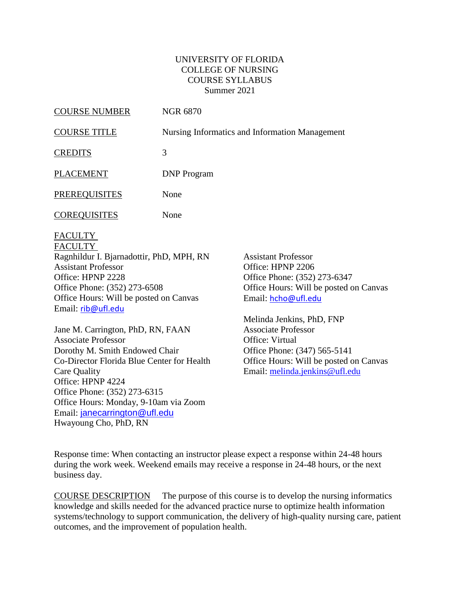### UNIVERSITY OF FLORIDA COLLEGE OF NURSING COURSE SYLLABUS Summer 2021

| <b>COURSE NUMBER</b> | <b>NGR 6870</b>                                |
|----------------------|------------------------------------------------|
| <b>COURSE TITLE</b>  | Nursing Informatics and Information Management |
| <b>CREDITS</b>       | 3                                              |
| <b>PLACEMENT</b>     | <b>DNP</b> Program                             |
| <b>PREREQUISITES</b> | None                                           |
| <b>COREQUISITES</b>  | None                                           |
|                      |                                                |

FACULTY FACULTY

Ragnhildur I. Bjarnadottir, PhD, MPH, RN Assistant Professor Office: HPNP 2228 Office Phone: (352) 273-6508 Office Hours: Will be posted on Canvas Email: [rib@ufl.edu](mailto:rib@ufl.edu)

Jane M. Carrington, PhD, RN, FAAN Associate Professor Dorothy M. Smith Endowed Chair Co-Director Florida Blue Center for Health Care Quality Office: HPNP 4224 Office Phone: (352) 273-6315 Office Hours: Monday, 9-10am via Zoom Email: [janecarrington@ufl.edu](mailto:janecarrington@ufl.edu) Hwayoung Cho, PhD, RN

Assistant Professor Office: HPNP 2206 Office Phone: (352) 273-6347 Office Hours: Will be posted on Canvas Email: [hcho@ufl.edu](mailto:hcho@ufl.edu)

Melinda Jenkins, PhD, FNP Associate Professor Office: Virtual Office Phone: (347) 565-5141 Office Hours: Will be posted on Canvas Email: [melinda.jenkins@ufl.edu](mailto:melinda.jenkins@ufl.edu)

Response time: When contacting an instructor please expect a response within 24-48 hours during the work week. Weekend emails may receive a response in 24-48 hours, or the next business day.

COURSE DESCRIPTION The purpose of this course is to develop the nursing informatics knowledge and skills needed for the advanced practice nurse to optimize health information systems/technology to support communication, the delivery of high-quality nursing care, patient outcomes, and the improvement of population health.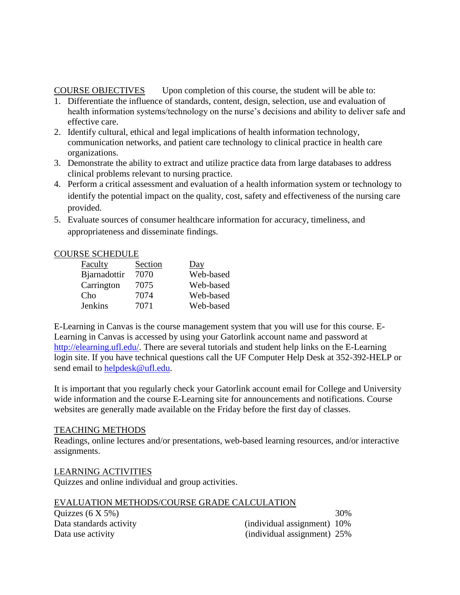## COURSE OBJECTIVES Upon completion of this course, the student will be able to:

- 1. Differentiate the influence of standards, content, design, selection, use and evaluation of health information systems/technology on the nurse's decisions and ability to deliver safe and effective care.
- 2. Identify cultural, ethical and legal implications of health information technology, communication networks, and patient care technology to clinical practice in health care organizations.
- 3. Demonstrate the ability to extract and utilize practice data from large databases to address clinical problems relevant to nursing practice.
- 4. Perform a critical assessment and evaluation of a health information system or technology to identify the potential impact on the quality, cost, safety and effectiveness of the nursing care provided.
- 5. Evaluate sources of consumer healthcare information for accuracy, timeliness, and appropriateness and disseminate findings.

# COURSE SCHEDULE

| <b>Faculty</b> | Section | $\overline{Day}$ |
|----------------|---------|------------------|
| Bjarnadottir   | 7070    | Web-based        |
| Carrington     | 7075    | Web-based        |
| Cho            | 7074    | Web-based        |
| <b>Jenkins</b> | 7071    | Web-based        |

E-Learning in Canvas is the course management system that you will use for this course. E-Learning in Canvas is accessed by using your Gatorlink account name and password at [http://elearning.ufl.edu/.](http://elearning.ufl.edu/) There are several tutorials and student help links on the E-Learning login site. If you have technical questions call the UF Computer Help Desk at 352-392-HELP or send email to [helpdesk@ufl.edu.](mailto:helpdesk@ufl.edu)

It is important that you regularly check your Gatorlink account email for College and University wide information and the course E-Learning site for announcements and notifications. Course websites are generally made available on the Friday before the first day of classes.

## TEACHING METHODS

Readings, online lectures and/or presentations, web-based learning resources, and/or interactive assignments.

## LEARNING ACTIVITIES

Quizzes and online individual and group activities.

| EVALUATION METHODS/COURSE GRADE CALCULATION |  |
|---------------------------------------------|--|
| .                                           |  |

| Quizzes $(6 X 5\%)$     |                             | 30% |
|-------------------------|-----------------------------|-----|
| Data standards activity | (individual assignment) 10% |     |
| Data use activity       | (individual assignment) 25% |     |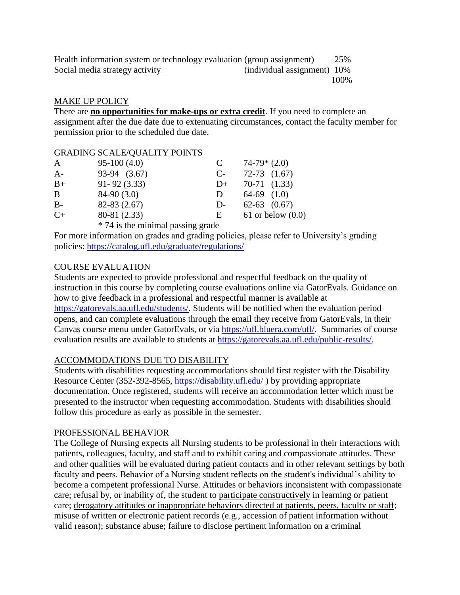| Health information system or technology evaluation (group assignment) |                             | 25%  |
|-----------------------------------------------------------------------|-----------------------------|------|
| Social media strategy activity                                        | (individual assignment) 10% |      |
|                                                                       |                             | 100% |

#### MAKE UP POLICY

There are **no opportunities for make-ups or extra credit**. If you need to complete an assignment after the due date due to extenuating circumstances, contact the faculty member for permission prior to the scheduled due date.

|              | <b>GRADING SCALE/QUALITY POINTS</b> |      |                     |
|--------------|-------------------------------------|------|---------------------|
| $\mathbf{A}$ | $95-100(4.0)$                       | C    | $74-79*(2.0)$       |
| $A-$         | 93-94 (3.67)                        | $C-$ | $72-73$ $(1.67)$    |
| $B+$         | $91 - 92(3.33)$                     | $D+$ | $70-71$ $(1.33)$    |
| B            | $84-90(3.0)$                        | D    | $64-69$ $(1.0)$     |
| $B -$        | $82-83(2.67)$                       | $D-$ | $62-63$ $(0.67)$    |
| $C+$         | 80-81 (2.33)                        | E    | 61 or below $(0.0)$ |
|              | * 74 is the minimal passing grade   |      |                     |

For more information on grades and grading policies, please refer to University's grading policies:<https://catalog.ufl.edu/graduate/regulations/>

### COURSE EVALUATION

Students are expected to provide professional and respectful feedback on the quality of instruction in this course by completing course evaluations online via GatorEvals. Guidance on how to give feedback in a professional and respectful manner is available at [https://gatorevals.aa.ufl.edu/students/.](https://gatorevals.aa.ufl.edu/students/) Students will be notified when the evaluation period opens, and can complete evaluations through the email they receive from GatorEvals, in their Canvas course menu under GatorEvals, or via [https://ufl.bluera.com/ufl/.](https://ufl.bluera.com/ufl/) Summaries of course evaluation results are available to students at [https://gatorevals.aa.ufl.edu/public-results/.](https://gatorevals.aa.ufl.edu/public-results/)

#### ACCOMMODATIONS DUE TO DISABILITY

Students with disabilities requesting accommodations should first register with the Disability Resource Center (352-392-8565,<https://disability.ufl.edu/> ) by providing appropriate documentation. Once registered, students will receive an accommodation letter which must be presented to the instructor when requesting accommodation. Students with disabilities should follow this procedure as early as possible in the semester.

#### PROFESSIONAL BEHAVIOR

The College of Nursing expects all Nursing students to be professional in their interactions with patients, colleagues, faculty, and staff and to exhibit caring and compassionate attitudes. These and other qualities will be evaluated during patient contacts and in other relevant settings by both faculty and peers. Behavior of a Nursing student reflects on the student's individual's ability to become a competent professional Nurse. Attitudes or behaviors inconsistent with compassionate care; refusal by, or inability of, the student to participate constructively in learning or patient care; derogatory attitudes or inappropriate behaviors directed at patients, peers, faculty or staff; misuse of written or electronic patient records (e.g., accession of patient information without valid reason); substance abuse; failure to disclose pertinent information on a criminal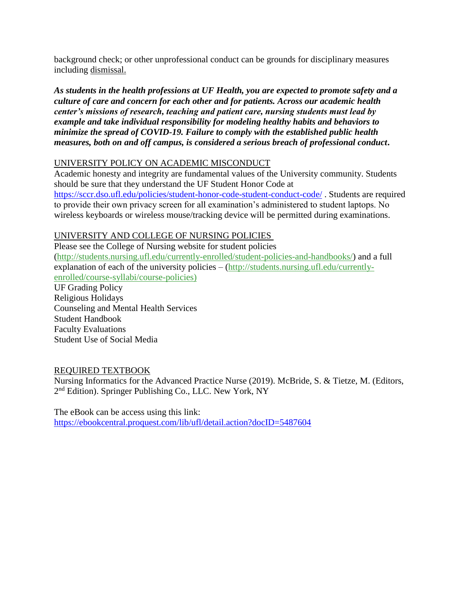background check; or other unprofessional conduct can be grounds for disciplinary measures including dismissal.

*As students in the health professions at UF Health, you are expected to promote safety and a culture of care and concern for each other and for patients. Across our academic health center's missions of research, teaching and patient care, nursing students must lead by example and take individual responsibility for modeling healthy habits and behaviors to minimize the spread of COVID-19. Failure to comply with the established public health measures, both on and off campus, is considered a serious breach of professional conduct***.** 

# UNIVERSITY POLICY ON ACADEMIC MISCONDUCT

Academic honesty and integrity are fundamental values of the University community. Students should be sure that they understand the UF Student Honor Code at <https://sccr.dso.ufl.edu/policies/student-honor-code-student-conduct-code/> . Students are required to provide their own privacy screen for all examination's administered to student laptops. No wireless keyboards or wireless mouse/tracking device will be permitted during examinations.

# UNIVERSITY AND COLLEGE OF NURSING POLICIES

Please see the College of Nursing website for student policies [\(http://students.nursing.ufl.edu/currently-enrolled/student-policies-and-handbooks/\)](http://students.nursing.ufl.edu/currently-enrolled/student-policies-and-handbooks/) and a full explanation of each of the university policies – [\(http://students.nursing.ufl.edu/currently](http://students.nursing.ufl.edu/currently-enrolled/course-syllabi/course-policies)[enrolled/course-syllabi/course-policies\)](http://students.nursing.ufl.edu/currently-enrolled/course-syllabi/course-policies)

UF Grading Policy Religious Holidays Counseling and Mental Health Services Student Handbook Faculty Evaluations Student Use of Social Media

## REQUIRED TEXTBOOK

Nursing Informatics for the Advanced Practice Nurse (2019). McBride, S. & Tietze, M. (Editors, 2<sup>nd</sup> Edition). Springer Publishing Co., LLC. New York, NY

The eBook can be access using this link: <https://ebookcentral.proquest.com/lib/ufl/detail.action?docID=5487604>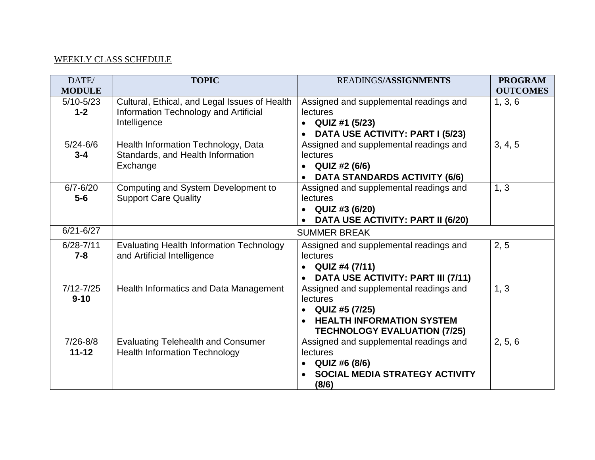### WEEKLY CLASS SCHEDULE

| DATE/<br><b>MODULE</b>    | <b>TOPIC</b>                                                                                           | READINGS/ASSIGNMENTS                                                                                                                                         | <b>PROGRAM</b><br><b>OUTCOMES</b> |
|---------------------------|--------------------------------------------------------------------------------------------------------|--------------------------------------------------------------------------------------------------------------------------------------------------------------|-----------------------------------|
| $5/10 - 5/23$<br>$1 - 2$  | Cultural, Ethical, and Legal Issues of Health<br>Information Technology and Artificial<br>Intelligence | Assigned and supplemental readings and<br>lectures<br>QUIZ #1 (5/23)<br>$\bullet$<br>DATA USE ACTIVITY: PART I (5/23)<br>$\bullet$                           | 1, 3, 6                           |
| $5/24 - 6/6$<br>$3 - 4$   | Health Information Technology, Data<br>Standards, and Health Information<br>Exchange                   | Assigned and supplemental readings and<br><b>lectures</b><br>QUIZ #2 (6/6)<br>$\bullet$<br><b>DATA STANDARDS ACTIVITY (6/6)</b><br>$\bullet$                 | 3, 4, 5                           |
| $6/7 - 6/20$<br>$5-6$     | Computing and System Development to<br><b>Support Care Quality</b>                                     | Assigned and supplemental readings and<br><b>lectures</b><br>QUIZ #3 (6/20)<br>DATA USE ACTIVITY: PART II (6/20)                                             | 1, 3                              |
| $6/21 - 6/27$             |                                                                                                        | <b>SUMMER BREAK</b>                                                                                                                                          |                                   |
| $6/28 - 7/11$<br>$7 - 8$  | <b>Evaluating Health Information Technology</b><br>and Artificial Intelligence                         | Assigned and supplemental readings and<br>lectures<br>QUIZ #4 (7/11)<br>$\bullet$<br>DATA USE ACTIVITY: PART III (7/11)<br>$\bullet$                         | 2, 5                              |
| $7/12 - 7/25$<br>$9 - 10$ | Health Informatics and Data Management                                                                 | Assigned and supplemental readings and<br>lectures<br>QUIZ #5 (7/25)<br><b>HEALTH INFORMATION SYSTEM</b><br>$\bullet$<br><b>TECHNOLOGY EVALUATION (7/25)</b> | 1, 3                              |
| $7/26 - 8/8$<br>$11 - 12$ | <b>Evaluating Telehealth and Consumer</b><br><b>Health Information Technology</b>                      | Assigned and supplemental readings and<br><b>lectures</b><br>QUIZ #6 (8/6)<br>$\bullet$<br><b>SOCIAL MEDIA STRATEGY ACTIVITY</b><br>(8/6)                    | 2, 5, 6                           |